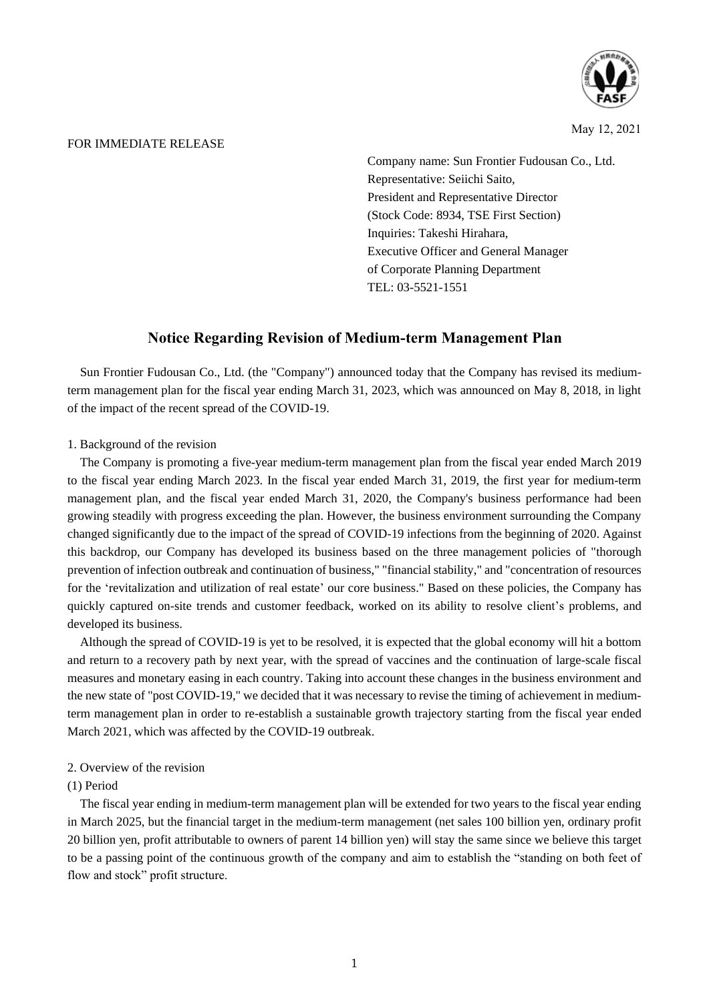

May 12, 2021

#### FOR IMMEDIATE RELEASE

Company name: Sun Frontier Fudousan Co., Ltd. Representative: Seiichi Saito, President and Representative Director (Stock Code: 8934, TSE First Section) Inquiries: Takeshi Hirahara, Executive Officer and General Manager of Corporate Planning Department TEL: 03-5521-1551

# **Notice Regarding Revision of Medium-term Management Plan**

Sun Frontier Fudousan Co., Ltd. (the "Company") announced today that the Company has revised its mediumterm management plan for the fiscal year ending March 31, 2023, which was announced on May 8, 2018, in light of the impact of the recent spread of the COVID-19.

### 1. Background of the revision

The Company is promoting a five-year medium-term management plan from the fiscal year ended March 2019 to the fiscal year ending March 2023. In the fiscal year ended March 31, 2019, the first year for medium-term management plan, and the fiscal year ended March 31, 2020, the Company's business performance had been growing steadily with progress exceeding the plan. However, the business environment surrounding the Company changed significantly due to the impact of the spread of COVID-19 infections from the beginning of 2020. Against this backdrop, our Company has developed its business based on the three management policies of "thorough prevention of infection outbreak and continuation of business," "financial stability," and "concentration of resources for the 'revitalization and utilization of real estate' our core business." Based on these policies, the Company has quickly captured on-site trends and customer feedback, worked on its ability to resolve client's problems, and developed its business.

Although the spread of COVID-19 is yet to be resolved, it is expected that the global economy will hit a bottom and return to a recovery path by next year, with the spread of vaccines and the continuation of large-scale fiscal measures and monetary easing in each country. Taking into account these changes in the business environment and the new state of "post COVID-19," we decided that it was necessary to revise the timing of achievement in mediumterm management plan in order to re-establish a sustainable growth trajectory starting from the fiscal year ended March 2021, which was affected by the COVID-19 outbreak.

## 2. Overview of the revision

## (1) Period

The fiscal year ending in medium-term management plan will be extended for two years to the fiscal year ending in March 2025, but the financial target in the medium-term management (net sales 100 billion yen, ordinary profit 20 billion yen, profit attributable to owners of parent 14 billion yen) will stay the same since we believe this target to be a passing point of the continuous growth of the company and aim to establish the "standing on both feet of flow and stock" profit structure.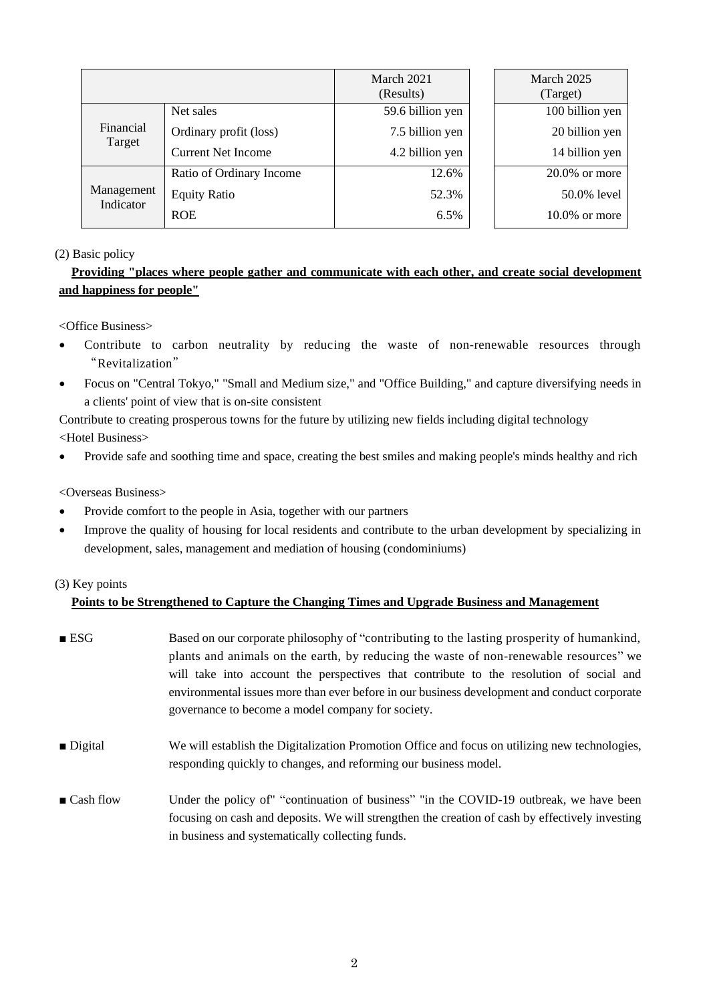|                         |                           | March 2021<br>(Results) |  | March 2025<br>(Target) |  |
|-------------------------|---------------------------|-------------------------|--|------------------------|--|
| Financial<br>Target     | Net sales                 | 59.6 billion yen        |  | 100 billion yen        |  |
|                         | Ordinary profit (loss)    | 7.5 billion yen         |  | 20 billion yen         |  |
|                         | <b>Current Net Income</b> | 4.2 billion yen         |  | 14 billion yen         |  |
| Management<br>Indicator | Ratio of Ordinary Income  | 12.6%                   |  | $20.0\%$ or more       |  |
|                         | <b>Equity Ratio</b>       | 52.3%                   |  | 50.0% level            |  |
|                         | <b>ROE</b>                | 6.5%                    |  | $10.0\%$ or more       |  |

## (2) Basic policy

# **Providing "places where people gather and communicate with each other, and create social development and happiness for people"**

<Office Business>

- Contribute to carbon neutrality by reducing the waste of non-renewable resources through "Revitalization"
- Focus on "Central Tokyo," "Small and Medium size," and "Office Building," and capture diversifying needs in a clients' point of view that is on-site consistent

Contribute to creating prosperous towns for the future by utilizing new fields including digital technology <Hotel Business>

• Provide safe and soothing time and space, creating the best smiles and making people's minds healthy and rich

<Overseas Business>

- Provide comfort to the people in Asia, together with our partners
- Improve the quality of housing for local residents and contribute to the urban development by specializing in development, sales, management and mediation of housing (condominiums)

## (3) Key points

# **Points to be Strengthened to Capture the Changing Times and Upgrade Business and Management**

- ESG Based on our corporate philosophy of "contributing to the lasting prosperity of humankind, plants and animals on the earth, by reducing the waste of non-renewable resources" we will take into account the perspectives that contribute to the resolution of social and environmental issues more than ever before in our business development and conduct corporate governance to become a model company for society.
- Digital We will establish the Digitalization Promotion Office and focus on utilizing new technologies, responding quickly to changes, and reforming our business model.
- Cash flow Under the policy of "continuation of business" "in the COVID-19 outbreak, we have been focusing on cash and deposits. We will strengthen the creation of cash by effectively investing in business and systematically collecting funds.